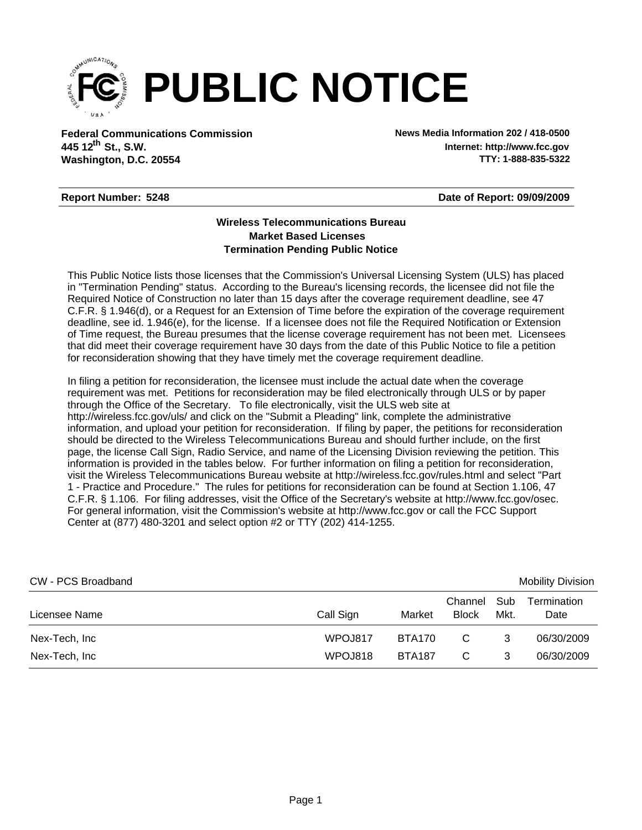

**Federal Communications Commission News Media Information 202 / 418-0500 Washington, D.C. 20554 th 445 12 St., S.W.**

**Internet: http://www.fcc.gov TTY: 1-888-835-5322**

## **Report Number: 5248**

**Date of Report: 09/09/2009**

## **Wireless Telecommunications Bureau Market Based Licenses Termination Pending Public Notice**

This Public Notice lists those licenses that the Commission's Universal Licensing System (ULS) has placed in "Termination Pending" status. According to the Bureau's licensing records, the licensee did not file the Required Notice of Construction no later than 15 days after the coverage requirement deadline, see 47 C.F.R. § 1.946(d), or a Request for an Extension of Time before the expiration of the coverage requirement deadline, see id. 1.946(e), for the license. If a licensee does not file the Required Notification or Extension of Time request, the Bureau presumes that the license coverage requirement has not been met. Licensees that did meet their coverage requirement have 30 days from the date of this Public Notice to file a petition for reconsideration showing that they have timely met the coverage requirement deadline.

In filing a petition for reconsideration, the licensee must include the actual date when the coverage requirement was met. Petitions for reconsideration may be filed electronically through ULS or by paper through the Office of the Secretary. To file electronically, visit the ULS web site at http://wireless.fcc.gov/uls/ and click on the "Submit a Pleading" link, complete the administrative information, and upload your petition for reconsideration. If filing by paper, the petitions for reconsideration should be directed to the Wireless Telecommunications Bureau and should further include, on the first page, the license Call Sign, Radio Service, and name of the Licensing Division reviewing the petition. This information is provided in the tables below. For further information on filing a petition for reconsideration, visit the Wireless Telecommunications Bureau website at http://wireless.fcc.gov/rules.html and select "Part 1 - Practice and Procedure." The rules for petitions for reconsideration can be found at Section 1.106, 47 C.F.R. § 1.106. For filing addresses, visit the Office of the Secretary's website at http://www.fcc.gov/osec. For general information, visit the Commission's website at http://www.fcc.gov or call the FCC Support Center at (877) 480-3201 and select option #2 or TTY (202) 414-1255.

| CW - PCS Broadband |           |               |                         |             | <b>Mobility Division</b> |
|--------------------|-----------|---------------|-------------------------|-------------|--------------------------|
| Licensee Name      | Call Sign | Market        | Channel<br><b>Block</b> | Sub<br>Mkt. | Termination<br>Date      |
| Nex-Tech, Inc      | WPOJ817   | <b>BTA170</b> | C                       |             | 06/30/2009               |
| Nex-Tech, Inc      | WPOJ818   | <b>BTA187</b> | C                       |             | 06/30/2009               |